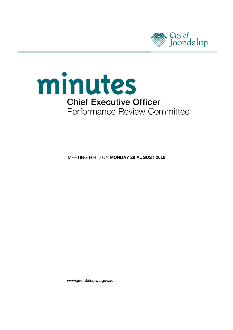



**MEETING HELD ON MONDAY 29 AUGUST 2016** 

www.joondalup.wa.gov.au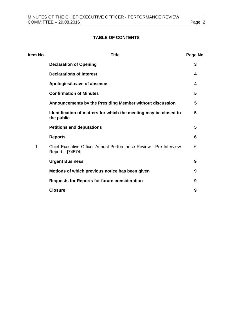# **TABLE OF CONTENTS**

| <b>Title</b>                                                                          | Page No. |
|---------------------------------------------------------------------------------------|----------|
| <b>Declaration of Opening</b>                                                         | 3        |
| <b>Declarations of Interest</b>                                                       | 4        |
| Apologies/Leave of absence                                                            | 4        |
| <b>Confirmation of Minutes</b>                                                        | 5        |
| Announcements by the Presiding Member without discussion                              | 5        |
| Identification of matters for which the meeting may be closed to<br>the public        | 5        |
| <b>Petitions and deputations</b>                                                      | 5        |
| <b>Reports</b>                                                                        | 6        |
| Chief Executive Officer Annual Performance Review - Pre Interview<br>Report – [74574] | 6        |
| <b>Urgent Business</b>                                                                | 9        |
| Motions of which previous notice has been given                                       | 9        |
| <b>Requests for Reports for future consideration</b>                                  | 9        |
| <b>Closure</b>                                                                        | 9        |
|                                                                                       |          |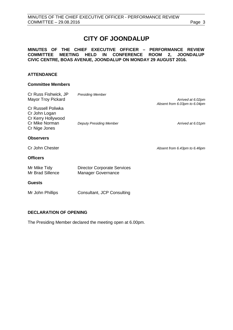# **CITY OF JOONDALUP**

### **MINUTES OF THE CHIEF EXECUTIVE OFFICER – PERFORMANCE REVIEW COMMITTEE MEETING HELD IN CONFERENCE ROOM 2, JOONDALUP CIVIC CENTRE, BOAS AVENUE, JOONDALUP ON MONDAY 29 AUGUST 2016.**

#### **ATTENDANCE**

#### **Committee Members**

| Cr Russ Fishwick, JP<br><b>Mayor Troy Pickard</b>                                            | <b>Presiding Member</b>                                  | Arrived at 6.02pm<br>Absent from 6.03pm to 6.04pm |  |
|----------------------------------------------------------------------------------------------|----------------------------------------------------------|---------------------------------------------------|--|
| Cr Russell Poliwka<br>Cr John Logan<br>Cr Kerry Hollywood<br>Cr Mike Norman<br>Cr Nige Jones | <b>Deputy Presiding Member</b>                           | Arrived at 6.01pm                                 |  |
| <b>Observers</b>                                                                             |                                                          |                                                   |  |
| Cr John Chester                                                                              |                                                          | Absent from 6.43pm to 6.46pm                      |  |
| <b>Officers</b>                                                                              |                                                          |                                                   |  |
| Mr Mike Tidy<br>Mr Brad Sillence                                                             | <b>Director Corporate Services</b><br>Manager Governance |                                                   |  |
| <b>Guests</b>                                                                                |                                                          |                                                   |  |
| Mr John Phillips                                                                             | Consultant, JCP Consulting                               |                                                   |  |

### <span id="page-2-0"></span>**DECLARATION OF OPENING**

The Presiding Member declared the meeting open at 6.00pm.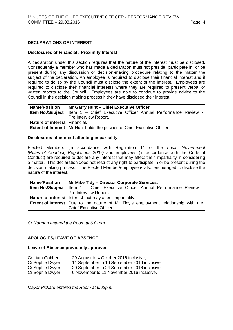#### <span id="page-3-0"></span>**DECLARATIONS OF INTEREST**

#### **Disclosures of Financial / Proximity Interest**

A declaration under this section requires that the nature of the interest must be disclosed. Consequently a member who has made a declaration must not preside, participate in, or be present during any discussion or decision-making procedure relating to the matter the subject of the declaration. An employee is required to disclose their financial interest and if required to do so by the Council must disclose the extent of the interest. Employees are required to disclose their financial interests where they are required to present verbal or written reports to the Council. Employees are able to continue to provide advice to the Council in the decision making process if they have disclosed their interest.

| <b>Name/Position</b>          | Mr Garry Hunt - Chief Executive Officer.                                               |  |  |  |
|-------------------------------|----------------------------------------------------------------------------------------|--|--|--|
|                               | <b>Item No./Subject</b>   Item $1 -$ Chief Executive Officer Annual Performance Review |  |  |  |
|                               | Pre Interview Report.                                                                  |  |  |  |
| Nature of interest Financial. |                                                                                        |  |  |  |
|                               | <b>Extent of Interest</b>   Mr Hunt holds the position of Chief Executive Officer.     |  |  |  |

#### **Disclosures of interest affecting impartiality**

Elected Members (in accordance with Regulation 11 of the *Local Government [Rules of Conduct] Regulations 2007)* and employees (in accordance with the Code of Conduct) are required to declare any interest that may affect their impartiality in considering a matter. This declaration does not restrict any right to participate in or be present during the decision-making process. The Elected Member/employee is also encouraged to disclose the nature of the interest.

| <b>Name/Position</b> | Mr Mike Tidy - Director Corporate Services.                                                 |  |  |
|----------------------|---------------------------------------------------------------------------------------------|--|--|
|                      | <b>Item No./Subject</b>   Item 1 - Chief Executive Officer Annual Performance Review -      |  |  |
|                      | Pre Interview Report.                                                                       |  |  |
|                      | Nature of interest   Interest that may affect impartiality.                                 |  |  |
|                      | <b>Extent of Interest</b>   Due to the nature of Mr Tidy's employment relationship with the |  |  |
|                      | <b>Chief Executive Officer.</b>                                                             |  |  |

*Cr Norman entered the Room at 6.01pm.*

#### <span id="page-3-1"></span>**APOLOGIES/LEAVE OF ABSENCE**

#### **Leave of Absence previously approved**

- Cr Liam Gobbert 29 August to 4 October 2016 inclusive; Cr Sophie Dwyer 11 September to 16 September 2016 inclusive;
- Cr Sophie Dwyer 20 September to 24 September 2016 inclusive;
- Cr Sophie Dwyer 6 November to 11 November 2016 inclusive.

*Mayor Pickard entered the Room at 6.02pm.*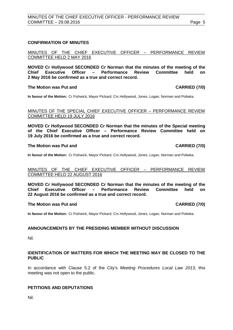#### <span id="page-4-0"></span>**CONFIRMATION OF MINUTES**

MINUTES OF THE CHIEF EXECUTIVE OFFICER – PERFORMANCE REVIEW COMMITTEE HELD 2 MAY 2016

**MOVED Cr Hollywood SECONDED Cr Norman that the minutes of the meeting of the Performance 2 May 2016 be confirmed as a true and correct record.**

#### **The Motion was Put and CARRIED (7/0)**

**In favour of the Motion:** Cr Fishwick, Mayor Pickard, Crs Hollywood, Jones, Logan, Norman and Poliwka.

#### MINUTES OF THE SPECIAL CHIEF EXECUTIVE OFFICER – PERFORMANCE REVIEW COMMITTEE HELD 19 JULY 2016

**MOVED Cr Hollywood SECONDED Cr Norman that the minutes of the Special meeting of the Chief Executive Officer – Performance Review Committee held on 19 July 2016 be confirmed as a true and correct record.**

#### **The Motion was Put and CARRIED (7/0)**

**In favour of the Motion:** Cr Fishwick, Mayor Pickard, Crs Hollywood, Jones, Logan, Norman and Poliwka.

#### MINUTES OF THE CHIEF EXECUTIVE OFFICER – PERFORMANCE REVIEW COMMITTEE HELD 22 AUGUST 2016

**MOVED Cr Hollywood SECONDED Cr Norman that the minutes of the meeting of the Chief Executive Officer – Performance Review Committee held on 22 August 2016 be confirmed as a true and correct record.**

#### **The Motion was Put and CARRIED (7/0)**

**In favour of the Motion:** Cr Fishwick, Mayor Pickard, Crs Hollywood, Jones, Logan, Norman and Poliwka.

#### <span id="page-4-1"></span>**ANNOUNCEMENTS BY THE PRESIDING MEMBER WITHOUT DISCUSSION**

Nil.

#### <span id="page-4-2"></span>**IDENTIFICATION OF MATTERS FOR WHICH THE MEETING MAY BE CLOSED TO THE PUBLIC**

In accordance with Clause 5.2 of the City's *Meeting Procedures Local Law 2013*, this meeting was not open to the public.

### <span id="page-4-3"></span>**PETITIONS AND DEPUTATIONS**

Nil.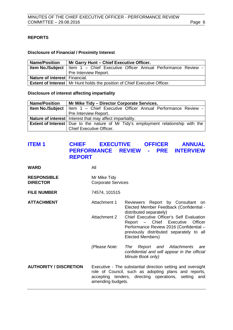# <span id="page-5-0"></span>**REPORTS**

### **Disclosure of Financial / Proximity Interest**

| <b>Name/Position</b>          | Mr Garry Hunt - Chief Executive Officer.                                               |  |  |  |
|-------------------------------|----------------------------------------------------------------------------------------|--|--|--|
|                               | <b>Item No./Subject</b>   Item 1 - Chief Executive Officer Annual Performance Review - |  |  |  |
|                               | Pre Interview Report.                                                                  |  |  |  |
| Nature of interest Financial. |                                                                                        |  |  |  |
|                               | <b>Extent of Interest</b>   Mr Hunt holds the position of Chief Executive Officer.     |  |  |  |

**Disclosure of interest affecting impartiality**

| <b>Name/Position</b> | Mr Mike Tidy – Director Corporate Services.                                                 |  |  |  |
|----------------------|---------------------------------------------------------------------------------------------|--|--|--|
|                      | <b>Item No./Subject</b>   Item $1 -$ Chief Executive Officer Annual Performance Review -    |  |  |  |
|                      | Pre Interview Report.                                                                       |  |  |  |
|                      | <b>Nature of interest</b> Interest that may affect impartiality.                            |  |  |  |
|                      | <b>Extent of Interest</b>   Due to the nature of Mr Tidy's employment relationship with the |  |  |  |
|                      | <b>Chief Executive Officer.</b>                                                             |  |  |  |

# <span id="page-5-1"></span>**ITEM 1 CHIEF EXECUTIVE OFFICER ANNUAL PERFORMANCE REVIEW - PRE INTERVIEW REPORT**

| <b>WARD</b>                           | All                                                                                                                                                                                                 |                                                                                                                                                                                             |  |
|---------------------------------------|-----------------------------------------------------------------------------------------------------------------------------------------------------------------------------------------------------|---------------------------------------------------------------------------------------------------------------------------------------------------------------------------------------------|--|
| <b>RESPONSIBLE</b><br><b>DIRECTOR</b> | Mr Mike Tidy<br><b>Corporate Services</b>                                                                                                                                                           |                                                                                                                                                                                             |  |
| <b>FILE NUMBER</b>                    | 74574, 101515                                                                                                                                                                                       |                                                                                                                                                                                             |  |
| <b>ATTACHMENT</b>                     | Attachment 1                                                                                                                                                                                        | Reviewers Report by Consultant on<br>Elected Member Feedback (Confidential -<br>distributed separately)                                                                                     |  |
|                                       | Attachment 2                                                                                                                                                                                        | Chief Executive Officer's Self Evaluation<br>Officer<br>Report - Chief Executive<br>Performance Review 2016 (Confidential -<br>previously distributed separately to all<br>Elected Members) |  |
|                                       | (Please Note:                                                                                                                                                                                       | The<br>Report and Attachments<br>are<br>confidential and will appear in the official<br>Minute Book only)                                                                                   |  |
| <b>AUTHORITY / DISCRETION</b>         | Executive - The substantial direction setting and oversight<br>role of Council, such as adopting plans and reports,<br>accepting tenders, directing operations, setting<br>and<br>amending budgets. |                                                                                                                                                                                             |  |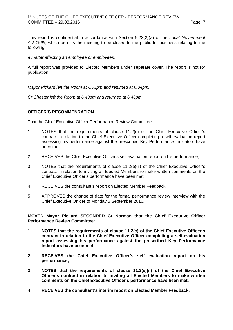### MINUTES OF THE CHIEF EXECUTIVE OFFICER - PERFORMANCE REVIEW COMMITTEE – 29.08.2016 **Page 7**

This report is confidential in accordance with Section 5.23(2)(a) of the *Local Government Act 1995*, which permits the meeting to be closed to the public for business relating to the following:

*a matter affecting an employee or employees.*

A full report was provided to Elected Members under separate cover. The report is not for publication.

*Mayor Pickard left the Room at 6.03pm and returned at 6.04pm.*

*Cr Chester left the Room at 6.43pm and returned at 6.46pm.*

#### **OFFICER'S RECOMMENDATION**

That the Chief Executive Officer Performance Review Committee:

- 1 NOTES that the requirements of clause 11.2(c) of the Chief Executive Officer's contract in relation to the Chief Executive Officer completing a self-evaluation report assessing his performance against the prescribed Key Performance Indicators have been met;
- 2 RECEIVES the Chief Executive Officer's self evaluation report on his performance;
- 3 NOTES that the requirements of clause 11.2(e)(ii) of the Chief Executive Officer's contract in relation to inviting all Elected Members to make written comments on the Chief Executive Officer's performance have been met;
- 4 RECEIVES the consultant's report on Elected Member Feedback;
- 5 APPROVES the change of date for the formal performance review interview with the Chief Executive Officer to Monday 5 September 2016.

**MOVED Mayor Pickard SECONDED Cr Norman that the Chief Executive Officer Performance Review Committee:**

- **1 NOTES that the requirements of clause 11.2(c) of the Chief Executive Officer's contract in relation to the Chief Executive Officer completing a self-evaluation report assessing his performance against the prescribed Key Performance Indicators have been met;**
- **2 RECEIVES the Chief Executive Officer's self evaluation report on his performance;**
- **3 NOTES that the requirements of clause 11.2(e)(ii) of the Chief Executive Officer's contract in relation to inviting all Elected Members to make written comments on the Chief Executive Officer's performance have been met;**
- **4 RECEIVES the consultant's interim report on Elected Member Feedback;**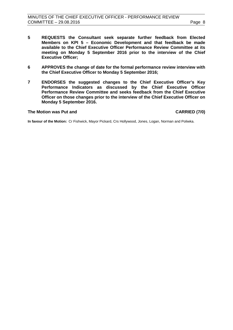- **5 REQUESTS the Consultant seek separate further feedback from Elected Members on KPI 5 – Economic Development and that feedback be made available to the Chief Executive Officer Performance Review Committee at its meeting on Monday 5 September 2016 prior to the interview of the Chief Executive Officer;**
- **6 APPROVES the change of date for the formal performance review interview with the Chief Executive Officer to Monday 5 September 2016;**
- **7 ENDORSES the suggested changes to the Chief Executive Officer's Key Performance Indicators as discussed by the Chief Executive Officer Performance Review Committee and seeks feedback from the Chief Executive Officer on those changes prior to the interview of the Chief Executive Officer on Monday 5 September 2016.**

#### **The Motion was Put and CARRIED (7/0)**

<span id="page-7-0"></span>**In favour of the Motion:** Cr Fishwick, Mayor Pickard, Crs Hollywood, Jones, Logan, Norman and Poliwka.